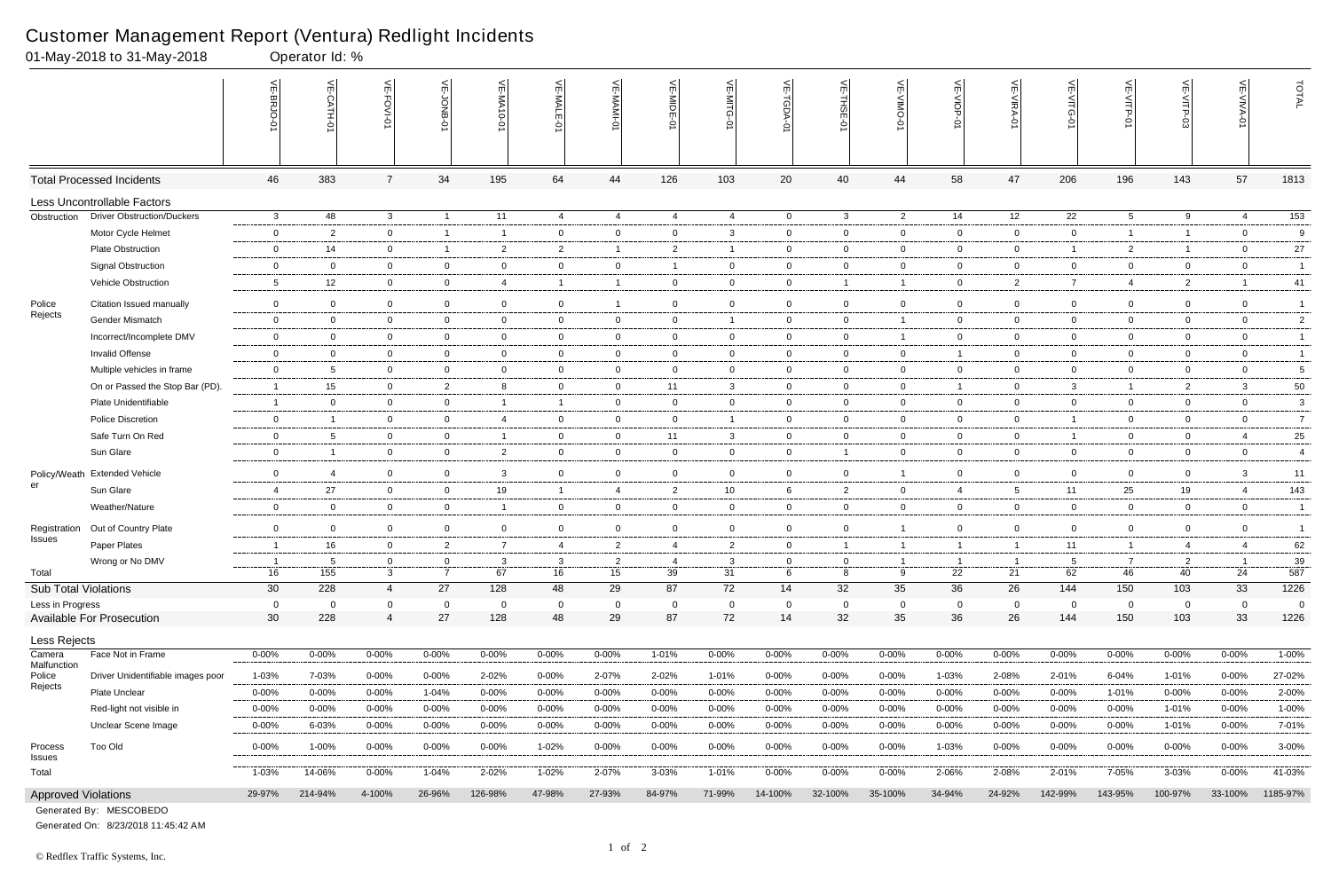#### Customer Management Report (Ventura) Redlight Incidents

|                               | 01-May-2018 to 31-May-2018        |                 | Operator Id: %           |                   |                                |                         |                |                |                |                             |                   |                |                |                |                |                           |                 |                          |                |                |
|-------------------------------|-----------------------------------|-----------------|--------------------------|-------------------|--------------------------------|-------------------------|----------------|----------------|----------------|-----------------------------|-------------------|----------------|----------------|----------------|----------------|---------------------------|-----------------|--------------------------|----------------|----------------|
|                               |                                   | VE-BRJO-        | VE-CATH-01               | VE-FOVI-01        | 븻<br>0-BNOL-                   | VE-MA10-01              | $\leq'$        | VE-MAMI-0      | VE-MIDE-01     | $\frac{1}{2}$<br>-MITG<br>ь | VE-TGDA-0         | VE-THSE-01     | VE-VIMO-01     | VE-VIOP-01     | VE-VIRA-01     | $\frac{1}{2}$<br>-VITG-01 | VE-VITP-01      |                          | VE-VIVA-0      | TOTAL          |
|                               | <b>Total Processed Incidents</b>  | 46              | 383                      | $\overline{7}$    | 34                             | 195                     | 64             | 44             | 126            | 103                         | 20                | 40             | 44             | 58             | 47             | 206                       | 196             | 143                      | 57             | 1813           |
|                               | Less Uncontrollable Factors       |                 |                          |                   |                                |                         |                |                |                |                             |                   |                |                |                |                |                           |                 |                          |                |                |
| Obstruction                   | <b>Driver Obstruction/Duckers</b> | $\mathbf{3}$    | 48                       | $\mathbf{3}$      | $\overline{1}$                 | 11                      | 4              | 4              | $\overline{4}$ | 4                           | $\overline{0}$    | $\mathbf{3}$   | $\overline{2}$ | 14             | 12             | 22                        | $5\overline{)}$ | 9                        | 4              | 153            |
|                               | Motor Cycle Helmet                | $\mathbf 0$     | $\overline{2}$           | $\overline{0}$    | $\overline{1}$                 | - 1                     | $\overline{0}$ | $\mathbf 0$    | $\mathbf 0$    | 3                           | $\overline{0}$    | $\overline{0}$ | $\overline{0}$ | $\mathbf{0}$   | $\mathbf 0$    | $\overline{0}$            | $\overline{1}$  | $\overline{\mathbf{1}}$  | $\overline{0}$ | 9              |
|                               | <b>Plate Obstruction</b>          | $\overline{0}$  | 14                       | $\overline{0}$    | $\overline{1}$                 | $\overline{2}$          | $\overline{2}$ | $\overline{1}$ | $\overline{2}$ |                             | $\overline{0}$    | $\mathbf 0$    | $\overline{0}$ | $\overline{0}$ | $\mathbf 0$    | -1                        | $\overline{2}$  | $\overline{\phantom{0}}$ | $\overline{0}$ | 27             |
|                               | <b>Signal Obstruction</b>         | $\mathbf 0$     | $\overline{0}$           | $\overline{0}$    | $\overline{0}$                 | $\overline{0}$          | 0              | $\mathbf{0}$   |                | $\mathbf 0$                 | $\mathbf{0}$      | $\overline{0}$ | 0              | $\overline{0}$ | $\mathbf 0$    | $\overline{0}$            | $\mathbf 0$     | $\mathbf{0}$             | $\overline{0}$ | $\overline{1}$ |
|                               | Vehicle Obstruction               | $5\phantom{.0}$ | 12                       | $\mathbf 0$       | $\overline{0}$                 | $\overline{4}$          | $\overline{1}$ | $\overline{1}$ | $\mathbf{0}$   | $\overline{0}$              | $\overline{0}$    | $\overline{1}$ | 1              | $\overline{0}$ | $\overline{2}$ | 7                         | $\overline{4}$  | $\overline{2}$           | $\overline{1}$ | 41             |
| Police                        | Citation Issued manually          | $\overline{0}$  | $\overline{0}$           | $\overline{0}$    | $\mathbf 0$                    | $\overline{0}$          | $\overline{0}$ | $\overline{1}$ | $\overline{0}$ | $\overline{0}$              | $\mathbf{0}$      | $\overline{0}$ | $\overline{0}$ | $\mathbf 0$    | $\mathbf 0$    | $\overline{0}$            | $\mathbf 0$     | $\mathbf{0}$             | $\overline{0}$ | $\overline{1}$ |
| Rejects                       | Gender Mismatch                   | $\mathbf 0$     | $\overline{0}$           | $\mathbf{0}$      | $\overline{0}$                 | $\overline{0}$          | $\overline{0}$ | $\mathbf{0}$   | $\mathbf 0$    |                             | $\mathbf{0}$      | $\mathbf 0$    |                | $\mathbf 0$    | $\mathbf 0$    | $\mathbf 0$               | $\mathbf 0$     | $\mathbf{0}$             | $\overline{0}$ | $\sqrt{2}$     |
|                               | Incorrect/Incomplete DMV          | $\overline{0}$  | $\overline{0}$           | $\mathbf 0$       | $\overline{0}$                 | $\overline{0}$          | $\overline{0}$ | $\overline{0}$ | $\mathbf{0}$   | $\overline{0}$              | $\overline{0}$    | $\overline{0}$ | $\mathbf{1}$   | $\overline{0}$ | $\mathbf 0$    | $\overline{0}$            | $\overline{0}$  | 0                        | $\overline{0}$ | $\overline{1}$ |
|                               | Invalid Offense                   | $\mathbf 0$     | $\overline{0}$           | $\mathbf{0}$      | $\overline{0}$                 | $\overline{0}$          | $\overline{0}$ | $\mathbf 0$    | $\overline{0}$ | $\overline{0}$              | $\overline{0}$    | $\overline{0}$ | $\overline{0}$ | $\mathbf{1}$   | $\mathbf 0$    | $\overline{0}$            | $\overline{0}$  | $\mathbf{0}$             | $\overline{0}$ | $\overline{1}$ |
|                               | Multiple vehicles in frame        | $\mathbf 0$     | 5                        | $\mathbf{0}$      | $\mathbf 0$                    | $\overline{0}$          | 0              | $\mathbf 0$    | $\mathbf 0$    | $\overline{0}$              | $\mathbf{0}$      | $\mathbf 0$    | 0              | $\mathbf 0$    | $\mathbf 0$    | $\overline{0}$            | $\overline{0}$  | $\mathbf 0$              | $\mathbf 0$    | $\sqrt{5}$     |
|                               | On or Passed the Stop Bar (PD).   | $\overline{1}$  | 15                       | $\mathbf{0}$      | $\overline{2}$                 | -8                      | $\overline{0}$ | $\overline{0}$ | 11             | $\mathbf{3}$                | $\overline{0}$    | $\overline{0}$ | $\overline{0}$ | $\mathbf{1}$   | $\mathbf 0$    | $\mathbf{3}$              | $\overline{1}$  | $\overline{2}$           | 3              | 50             |
|                               | Plate Unidentifiable              | $\overline{1}$  | $\overline{0}$           | $\mathbf{0}$      | $\overline{0}$                 | $\overline{1}$          | $\overline{1}$ | $\overline{0}$ | $\overline{0}$ | $\overline{0}$              | $\overline{0}$    | $\overline{0}$ | $\overline{0}$ | $\overline{0}$ | $\mathbf 0$    | $\overline{0}$            | $\overline{0}$  | $\mathbf{0}$             | $\overline{0}$ | $\mathbf{3}$   |
|                               | <b>Police Discretion</b>          | $\overline{0}$  | $\overline{1}$           | $\overline{0}$    | $\mathbf 0$                    | $\overline{4}$          | $\overline{0}$ | $\mathbf 0$    | $\mathbf 0$    |                             | $\mathbf{0}$      | $\overline{0}$ | $\overline{0}$ | $\overline{0}$ | $\mathbf 0$    | $\overline{1}$            | $\overline{0}$  | $\mathbf{0}$             | $\overline{0}$ | $\overline{7}$ |
|                               | Safe Turn On Red                  | $\overline{0}$  | 5                        | $\mathbf{0}$      | $\overline{0}$                 | $\overline{\mathbf{1}}$ | $\mathbf 0$    | $\mathbf{0}$   | 11             | 3                           | $\overline{0}$    | $\overline{0}$ | $\overline{0}$ | $\overline{0}$ | $\mathbf 0$    | $\overline{1}$            | $\overline{0}$  | $\mathbf{0}$             | 4              | 25             |
|                               | Sun Glare                         | $\overline{0}$  |                          | $\overline{0}$    | $\overline{0}$                 | $\overline{2}$          | 0              | $\overline{0}$ | $\overline{0}$ | $\overline{0}$              | $\mathbf{0}$      |                | $\overline{0}$ | $\mathbf 0$    | $\mathbf 0$    | $\overline{0}$            | $\overline{0}$  | 0                        | $\overline{0}$ | $\overline{4}$ |
| Policy/Weath                  | <b>Extended Vehicle</b>           | $\mathbf 0$     | $\overline{\mathcal{A}}$ | $\mathbf 0$       | $\mathbf 0$                    | $\mathbf{3}$            | $\overline{0}$ | $\mathbf 0$    | $\mathbf 0$    | $\overline{0}$              | $\mathbf 0$       | $\mathbf 0$    |                | $\mathbf 0$    | $\mathbf 0$    | $\mathbf 0$               | $\overline{0}$  | $\mathbf 0$              | 3              | 11             |
| er                            | Sun Glare                         | $\overline{4}$  | 27                       | $\overline{0}$    | $\overline{0}$                 | 19                      | $\overline{1}$ | $\overline{4}$ | $\overline{2}$ | 10 <sup>°</sup>             | 6                 | $\overline{2}$ | $\overline{0}$ | $\overline{4}$ | 5              | 11                        | 25              | 19                       | $\overline{4}$ | 143            |
|                               | Weather/Nature                    | $\overline{0}$  | $\overline{0}$           | $\overline{0}$    | $\overline{0}$                 | - 1                     | $\overline{0}$ | $\overline{0}$ | $\overline{0}$ | $\mathbf{0}$                | $\overline{0}$    | $\overline{0}$ | $\overline{0}$ | $\overline{0}$ | $\mathbf 0$    | $\mathbf 0$               | $\overline{0}$  | 0                        | $\overline{0}$ | $\overline{1}$ |
|                               | Out of Country Plate              | $\overline{0}$  | $\overline{0}$           | $\overline{0}$    | $\mathbf 0$                    | $\overline{0}$          | $\overline{0}$ | $\mathbf 0$    | $\overline{0}$ | $\overline{0}$              | $\overline{0}$    | $\overline{0}$ |                | $\overline{0}$ | $\mathbf 0$    | $\overline{0}$            | $\overline{0}$  | $\mathbf{0}$             | $\overline{0}$ | $\overline{1}$ |
| Registration<br><b>Issues</b> | Paper Plates                      | $\overline{1}$  | 16                       | $\overline{0}$    | 2                              | $\overline{7}$          | 4              | 2              | $\overline{4}$ | $\overline{2}$              | $\mathbf 0$       |                | -1             | $\overline{1}$ | $\mathbf{1}$   | 11                        | $\overline{1}$  | $\overline{4}$           | $\overline{4}$ | 62             |
|                               |                                   |                 |                          |                   |                                |                         |                |                |                |                             |                   |                |                |                |                |                           |                 |                          |                |                |
| Total                         | Wrong or No DMV                   | 16              | - 5<br>155               | 0<br>$\mathbf{3}$ | $\mathbf{0}$<br>$\overline{7}$ | - 3<br>67               | 3<br>16        | -2<br>15       | -4<br>39       | 3<br>31                     | $\mathbf{0}$<br>6 | 0<br>8         | 9              | 22             | 21             | 5<br>62                   | 46              | 2<br>40                  | 24             | 39<br>587      |
| <b>Sub Total Violations</b>   |                                   | 30              | 228                      | $\overline{4}$    | 27                             | 128                     | 48             | 29             | 87             | 72                          | 14                | 32             | 35             | 36             | 26             | 144                       | 150             | 103                      | 33             | 1226           |
| Less in Progress              |                                   | $\overline{0}$  | $\overline{0}$           | $\mathbf 0$       | $\mathbf 0$                    | $\overline{0}$          | $\overline{0}$ | $\mathbf 0$    | $\mathbf{0}$   | $\mathbf 0$                 | $\mathbf 0$       | $\mathbf 0$    | $\mathbf{0}$   | $\mathbf 0$    | $\mathbf 0$    | $\overline{0}$            | $\mathbf 0$     | $\mathbf 0$              | $\mathbf 0$    | $\overline{0}$ |
|                               | Available For Prosecution         | 30 <sup>°</sup> | 228                      | $\overline{4}$    | 27                             | 128                     | 48             | 29             | 87             | 72                          | 14                | 32             | 35             | 36             | 26             | 144                       | 150             | 103                      | 33             | 1226           |
| <b>Less Rejects</b>           |                                   |                 |                          |                   |                                |                         |                |                |                |                             |                   |                |                |                |                |                           |                 |                          |                |                |
| Camera<br>Malfunction         | Face Not in Frame                 | $0 - 00\%$      | 0-00%                    | $0 - 00\%$        | $0 - 00\%$                     | 0-00%                   | $0 - 00\%$     | $0 - 00\%$     | 1-01%          | $0 - 00%$                   | $0 - 00\%$        | $0 - 00%$      | $0 - 00%$      | $0 - 00\%$     | $0 - 00%$      | $0 - 00\%$                | $0 - 00%$       | $0 - 00%$                | $0 - 00\%$     | $1 - 00%$      |
| Police                        | Driver Unidentifiable images poor | 1-03%           | 7-03%                    | 0-00%             | $0 - 00\%$                     | 2-02%                   | $0 - 00%$      | 2-07%          | 2-02%          | 1-01%                       | $0 - 00\%$        | $0 - 00%$      | $0 - 00%$      | 1-03%          | 2-08%          | 2-01%                     | 6-04%           | 1-01%                    | 0-00%          | 27-02%         |
| Rejects                       | Plate Unclear                     | $0 - 00%$       | $0 - 00%$                | $0 - 00%$         | 1-04%                          | $0 - 00%$               | $0 - 00%$      | $0 - 00%$      | $0 - 00%$      | $0 - 00%$                   | $0 - 00%$         | $0 - 00\%$     | $0 - 00%$      | $0 - 00%$      | $0 - 00%$      | $0 - 00\%$                | 1-01%           | $0 - 00%$                | $0 - 00%$      | 2-00%          |
|                               | Red-light not visible in          | $0 - 00%$       | $0 - 00%$                | $0 - 00\%$        | $0 - 00\%$                     | 0-00%                   | $0 - 00\%$     | $0 - 00\%$     | $0 - 00%$      | $0 - 00%$                   | 0-00%             | $0 - 00\%$     | 0-00%          | 0-00%          | $0 - 00\%$     | $0 - 00\%$                | $0 - 00%$       | 1-01%                    | $0 - 00\%$     | 1-00%          |
|                               | Unclear Scene Image               | $0 - 00\%$      | 6-03%                    | $0 - 00\%$        | $0 - 00\%$                     | $0 - 00\%$              | $0 - 00\%$     | $0 - 00\%$     | $0 - 00%$      | $0 - 00%$                   | $0 - 00\%$        | $0 - 00\%$     | $0 - 00%$      | $0 - 00%$      | $0 - 00\%$     | $0 - 00\%$                | $0 - 00%$       | 1-01%                    | $0 - 00\%$     | 7-01%          |
| Process<br>Issues             | Too Old                           | $0 - 00\%$      | 1-00%                    | $0 - 00%$         | $0 - 00\%$                     | $0 - 00\%$              | $1 - 02%$      | $0 - 00\%$     | $0 - 00%$      | $0 - 00%$                   | $0 - 00\%$        | $0 - 00%$      | $0 - 00\%$     | 1-03%          | $0 - 00\%$     | $0 - 00\%$                | $0 - 00\%$      | $0 - 00%$                | $0 - 00\%$     | $3 - 00\%$     |
| Total                         |                                   | $1 - 03%$       | 14-06%                   | $0 - 00%$         | $1 - 04%$                      | 2-02%                   | $1 - 02%$      | 2-07%          | 3-03%          | $1 - 01%$                   | $0 - 00\%$        | $0 - 00%$      | $0 - 00%$      | 2-06%          | 2-08%          | 2-01%                     | 7-05%           | $3 - 03%$                | $0 - 00\%$     | 41-03%         |
| <b>Approved Violations</b>    |                                   | 29-97%          | 214-94%                  | 4-100%            | 26-96%                         | 126-98%                 | 47-98%         | 27-93%         | 84-97%         | 71-99%                      | 14-100%           | 32-100%        | 35-100%        | 34-94%         | 24-92%         | 142-99%                   | 143-95%         | 100-97%                  | 33-100%        | 1185-97%       |
|                               | Generated By: MESCOBEDO           |                 |                          |                   |                                |                         |                |                |                |                             |                   |                |                |                |                |                           |                 |                          |                |                |

Generated On: 8/23/2018 11:45:42 AM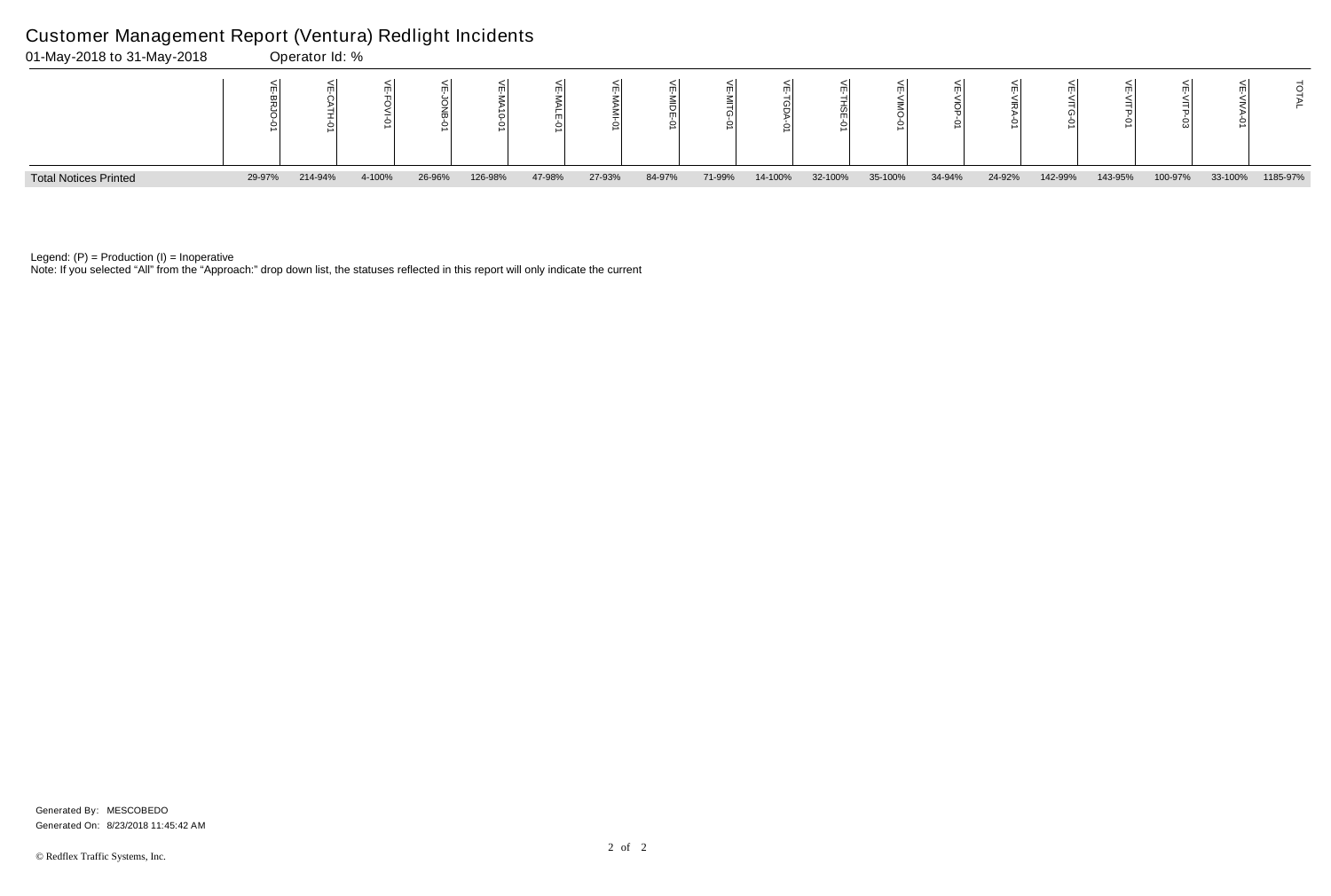Note: If you selected "All" from the "Approach:" drop down list, the statuses reflected in this report will only indicate the current



### Customer Management Report (Ventura) Redlight Incidents

|    | ⋚<br><b>VITG-01</b> | ₹<br>≦<br>년<br>인 | щ<br>스<br>그<br>င္ပ် | m       | ТAI      |
|----|---------------------|------------------|---------------------|---------|----------|
| 'n | 142-99%             | 143-95%          | 100-97%             | 33-100% | 1185-97% |

Generated On: 8/23/2018 11:45:42 AM Generated By: MESCOBEDO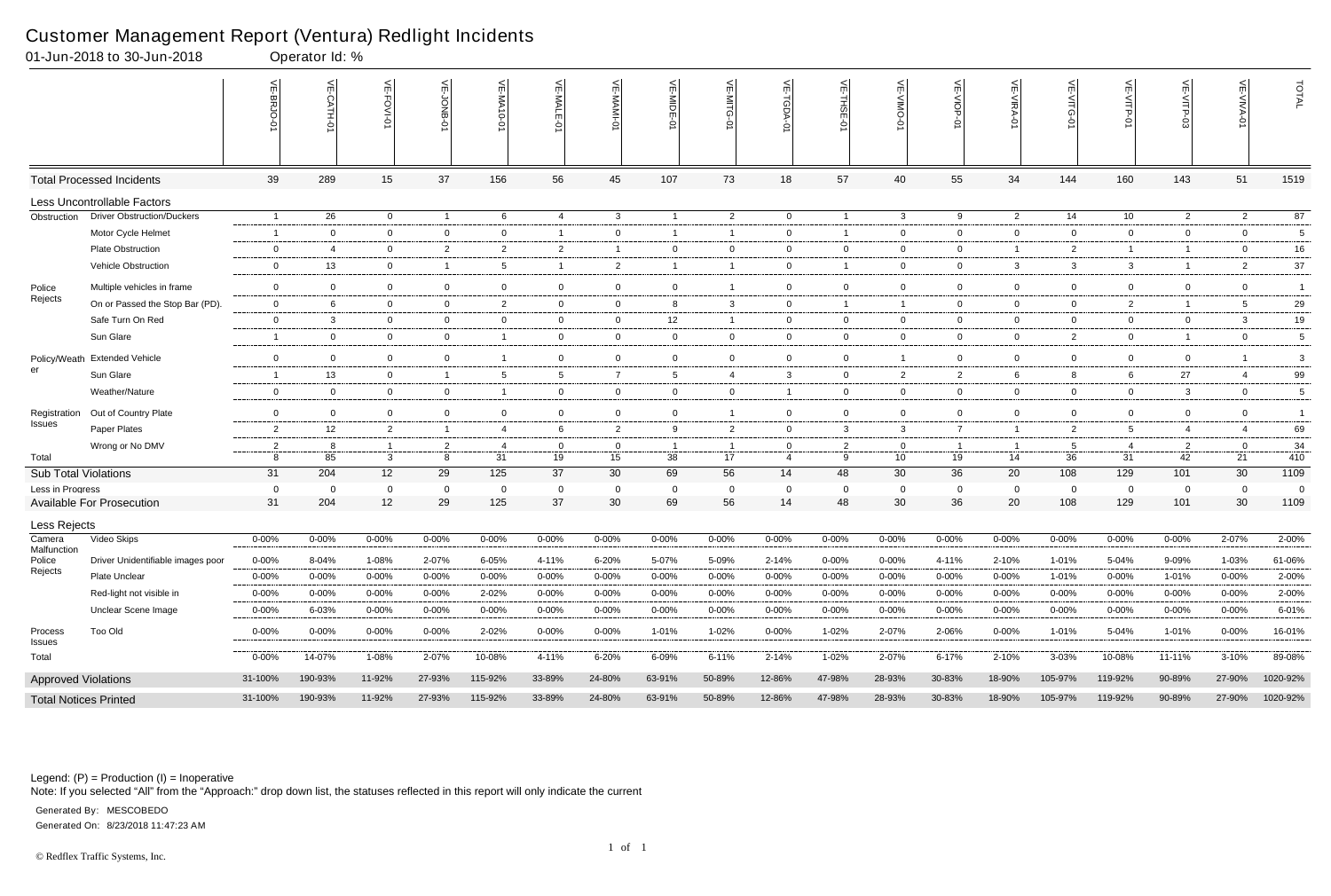Note: If you selected "All" from the "Approach:" drop down list, the statuses reflected in this report will only indicate the current

| 01-Jun-2018 to 30-Jun-2018   |                                   |                          | Operator Id: % |                 |                |                 |                |                |                 |                |                |                         |                 |                    |                         |                |                 |                |                               |             |
|------------------------------|-----------------------------------|--------------------------|----------------|-----------------|----------------|-----------------|----------------|----------------|-----------------|----------------|----------------|-------------------------|-----------------|--------------------|-------------------------|----------------|-----------------|----------------|-------------------------------|-------------|
|                              |                                   | VE-BRJO-<br>¢            |                | VE-FOVI-C       | VE-JONB-01     | VE-MA<br>$-0-0$ | VE-MALE-01     | VE-MAMI-01     | VE-MIDE-01      | VE-MITG-0      | VE-TGDA-       | VE-THSE<br>Ģ            | VE-VIMO-0       | VE-VIOP<br>$\circ$ | VE-VIRA-0               | 늰              | VE-VITP-01      | VE-VITP-03     | $\overline{\text{VE-WINA-0}}$ | TOTAL       |
|                              | <b>Total Processed Incidents</b>  | 39                       | 289            | 15              | 37             | 156             | 56             | 45             | 107             | 73             | 18             | 57                      | 40              | 55                 | 34                      | 144            | 160             | 143            | 51                            | 1519        |
|                              | Less Uncontrollable Factors       |                          |                |                 |                |                 |                |                |                 |                |                |                         |                 |                    |                         |                |                 |                |                               |             |
| Obstruction                  | <b>Driver Obstruction/Duckers</b> | $\overline{\phantom{0}}$ | 26             | $\mathbf 0$     | $\overline{1}$ | 6               | $\overline{4}$ | $\mathbf{3}$   |                 | $\overline{2}$ | $\mathbf 0$    | $\overline{\mathbf{1}}$ | $\mathbf{3}$    | 9                  | $\overline{2}$          | 14             | 10              | $\overline{2}$ | $\overline{2}$                | 87          |
|                              | Motor Cycle Helmet                | - 1                      | $\overline{0}$ | $\mathbf 0$     | $\mathbf 0$    | $\overline{0}$  | -1             | $\overline{0}$ |                 | $\overline{1}$ | $\mathbf 0$    | -1                      | $\mathbf{0}$    | $\overline{0}$     | $\overline{0}$          | $\mathbf 0$    | $\overline{0}$  | $\overline{0}$ | $\overline{0}$                | 5           |
|                              | <b>Plate Obstruction</b>          | $\mathbf{0}$             | 4              | $\overline{0}$  | $\overline{2}$ | $\overline{2}$  | $\overline{2}$ | $\overline{1}$ | $\mathbf 0$     | $\mathbf 0$    | $\mathbf 0$    | $\overline{0}$          | $\mathbf{0}$    | $\overline{0}$     | $\overline{1}$          | 2              | $\overline{1}$  | $\overline{1}$ | $\mathbf 0$                   | 16          |
|                              | Vehicle Obstruction               | $\mathbf{0}$             | 13             | $\overline{0}$  | $\overline{1}$ | 5               | $\mathbf{1}$   | $\overline{2}$ |                 | $\overline{1}$ | $\mathbf 0$    | -1                      | $\mathbf 0$     | $\mathbf 0$        | -3                      | $\mathbf{3}$   | $\mathbf{3}$    | -1             | $\overline{2}$                | $37\,$      |
| Police                       | Multiple vehicles in frame        | $\mathbf 0$              | $\overline{0}$ | $\overline{0}$  | $\mathbf 0$    | $\mathbf 0$     | $\overline{0}$ | $\mathbf 0$    | $\mathbf 0$     | $\overline{1}$ | $\mathbf 0$    | $\mathbf 0$             | $\mathbf{0}$    | $\overline{0}$     | $\overline{0}$          | 0              | $\mathbf 0$     | 0              | $\mathbf 0$                   | $\mathbf 1$ |
| Rejects                      | On or Passed the Stop Bar (PD).   | $\overline{0}$           | 6              | $\overline{0}$  | $\mathbf{0}$   | $\overline{2}$  | $\overline{0}$ | $\overline{0}$ | 8               | $\mathbf{3}$   | $\overline{0}$ | -1                      | $\overline{1}$  | $\overline{0}$     | $\overline{0}$          | $\overline{0}$ | $\overline{2}$  | $\overline{1}$ | $5^{\circ}$                   | 29          |
|                              | Safe Turn On Red                  | $\mathbf 0$              | $\mathbf{3}$   | $\overline{0}$  | $\mathbf 0$    | $\overline{0}$  | $\overline{0}$ | $\overline{0}$ | 12              | $\overline{1}$ | $\overline{0}$ | $\overline{0}$          | $\mathbf{0}$    | $\mathbf 0$        | $\overline{0}$          | $\overline{0}$ | $\overline{0}$  | $\overline{0}$ | $\mathbf{3}$                  | 19          |
|                              | Sun Glare                         |                          | $\mathbf 0$    | $\overline{0}$  | $\mathbf 0$    | -1              | $\overline{0}$ | 0              | $\mathbf 0$     | $\mathbf 0$    | $\mathbf 0$    | $\overline{0}$          | $\mathbf{0}$    | $\overline{0}$     | $\overline{0}$          | 2              | $\mathbf 0$     | $\overline{1}$ | $\mathbf 0$                   | 5           |
|                              | Policy/Weath Extended Vehicle     | $\overline{0}$           | $\mathbf 0$    | $\overline{0}$  | $\mathbf 0$    | -1              | $\mathbf{0}$   | $\mathbf 0$    | $\mathbf 0$     | $\mathbf 0$    | 0              | $\overline{0}$          |                 | $\mathbf 0$        | $\overline{0}$          | $\mathbf 0$    | $\overline{0}$  | $\mathbf 0$    |                               | 3           |
| er                           | Sun Glare                         | $\overline{1}$           | 13             | $\overline{0}$  | $\overline{1}$ | 5               | $5^{\circ}$    | $\overline{7}$ | $5\overline{)}$ | -4             | $\mathbf{3}$   | $\overline{0}$          | $\overline{2}$  | $\overline{2}$     | 6                       | 8              | 6               | 27             | 4                             | 99          |
|                              | Weather/Nature                    | $\mathbf 0$              | $\overline{0}$ | $\overline{0}$  | $\mathbf 0$    | $\mathbf 1$     | $\overline{0}$ | $\mathbf 0$    | $\mathbf 0$     | $\overline{0}$ | $\overline{1}$ | $\overline{0}$          | $\mathbf{0}$    | $\overline{0}$     | $\overline{0}$          | $\overline{0}$ | $\overline{0}$  | 3              | $\mathbf 0$                   | 5           |
| Registration                 | Out of Country Plate              | $\mathbf 0$              | $\overline{0}$ | $\overline{0}$  | $\mathbf 0$    | $\mathbf 0$     | $\overline{0}$ | 0              | $\overline{0}$  | $\overline{1}$ | $\mathbf 0$    | $\overline{0}$          | $\mathbf{0}$    | $\mathbf 0$        | $\overline{0}$          | $\overline{0}$ | $\mathbf 0$     | $\mathbf 0$    | $\mathbf 0$                   |             |
| Issues                       | Paper Plates                      | $\overline{2}$           | 12             | $\overline{2}$  | $\overline{1}$ | 4               | 6              | $\overline{2}$ | 9               | $\overline{2}$ | $\mathbf 0$    | 3                       | 3               | $\overline{7}$     | $\overline{1}$          | $\overline{2}$ | $5\overline{)}$ | $\overline{4}$ | $\overline{4}$                | 69          |
|                              | Wrong or No DMV                   | $\overline{2}$           | 8              |                 | $\overline{2}$ | $\overline{4}$  | $\overline{0}$ | $\mathbf 0$    |                 | $\overline{1}$ | $\mathbf{0}$   | $\overline{2}$          | $\mathbf 0$     | $\overline{1}$     | $\overline{\mathbf{1}}$ | 5              | $\overline{4}$  | $\overline{2}$ | $\overline{0}$                | 34          |
| Total                        |                                   | 8                        | 85             | 3               | 8              | 31              | 19             | 15             | 38              | 17             | $\overline{4}$ | 9                       | 10 <sup>°</sup> | 19                 | 14                      | 36             | 31              | 42             | 21                            | 410         |
| <b>Sub Total Violations</b>  |                                   | 31                       | 204            | 12 <sup>2</sup> | 29             | 125             | 37             | 30             | 69              | 56             | 14             | 48                      | 30              | 36                 | 20                      | 108            | 129             | 101            | 30                            | 1109        |
| Less in Progress             |                                   | $\overline{0}$           | 0              | $\mathbf 0$     | $\mathbf{0}$   | $\overline{0}$  | 0              | $\mathbf{0}$   | $\mathbf 0$     | $\mathbf 0$    | 0              | 0                       | 0               | $\mathbf 0$        | $\overline{0}$          | 0              | $\mathbf{0}$    | $\mathbf 0$    | 0                             | 0           |
|                              | <b>Available For Prosecution</b>  | 31                       | 204            | 12              | 29             | 125             | 37             | 30             | 69              | 56             | 14             | 48                      | 30              | 36                 | 20                      | 108            | 129             | 101            | 30                            | 1109        |
| Less Rejects                 |                                   |                          |                |                 |                |                 |                |                |                 |                |                |                         |                 |                    |                         |                |                 |                |                               |             |
| Camera<br>Malfunction        | Video Skips                       | $0 - 00%$                | $0 - 00%$      | $0 - 00%$       | $0 - 00%$      | 0-00%           | $0 - 00%$      | $0 - 00%$      | 0-00%           | $0 - 00%$      | $0 - 00%$      | 0-00%                   | $0 - 00%$       | $0 - 00%$          | 0-00%                   | 0-00%          | $0 - 00%$       | $0 - 00%$      | 2-07%                         | 2-00%       |
| Police                       | Driver Unidentifiable images poor | $0 - 00%$                | 8-04%          | 1-08%           | 2-07%          | 6-05%           | 4-11%          | 6-20%          | 5-07%           | 5-09%          | 2-14%          | $0 - 00%$               | $0 - 00%$       | 4-11%              | 2-10%                   | 1-01%          | 5-04%           | 9-09%          | 1-03%                         | 61-06%      |
| Rejects                      | Plate Unclear                     | $0 - 00%$                | $0 - 00%$      | $0 - 00\%$      | $0 - 00%$      | $0 - 00%$       | $0 - 00%$      | $0 - 00%$      | $0 - 00%$       | $0 - 00%$      | $0 - 00%$      | $0 - 00%$               | $0 - 00\%$      | $0 - 00\%$         | $0 - 00%$               | 1-01%          | 0-00%           | 1-01%          | $0 - 00%$                     | 2-00%       |
|                              | Red-light not visible in          | $0 - 00%$                | $0 - 00%$      | $0 - 00\%$      | $0 - 00%$      | 2-02%           | $0 - 00%$      | $0 - 00%$      | 0-00%           | $0 - 00%$      | $0 - 00%$      | $0 - 00%$               | $0 - 00%$       | $0 - 00\%$         | $0 - 00%$               | $0 - 00%$      | $0 - 00%$       | $0 - 00%$      | $0 - 00%$                     | 2-00%       |
|                              | Unclear Scene Image               | $0 - 00%$                | 6-03%          | $0 - 00\%$      | $0 - 00\%$     | $0 - 00%$       | $0 - 00%$      | $0 - 00\%$     | $0 - 00\%$      | $0 - 00%$      | $0 - 00\%$     | $0 - 00%$               | $0 - 00\%$      | 0-00%              | 0-00%                   | $0 - 00\%$     | $0 - 00%$       | $0 - 00\%$     | $0 - 00\%$                    | 6-01%       |
| Process<br><b>Issues</b>     | Too Old                           | 0-00%                    | $0 - 00\%$     | $0 - 00\%$      | $0 - 00%$      | 2-02%           | $0 - 00\%$     | $0 - 00\%$     | 1-01%           | 1-02%          | $0 - 00\%$     | 1-02%                   | 2-07%           | 2-06%              | $0 - 00\%$              | 1-01%          | 5-04%           | 1-01%          | $0 - 00\%$                    | 16-01%      |
| Total                        |                                   | $0 - 00%$                | 14-07%         | 1-08%           | 2-07%          | 10-08%          | 4-11%          | 6-20%          | 6-09%           | $6 - 11%$      | 2-14%          | 1-02%                   | 2-07%           | 6-17%              | 2-10%                   | 3-03%          | 10-08%          | 11-11%         | $3 - 10%$                     | 89-08%      |
| <b>Approved Violations</b>   |                                   | 31-100%                  | 190-93%        | 11-92%          | 27-93%         | 115-92%         | 33-89%         | 24-80%         | 63-91%          | 50-89%         | 12-86%         | 47-98%                  | 28-93%          | 30-83%             | 18-90%                  | 105-97%        | 119-92%         | 90-89%         | 27-90%                        | 1020-92%    |
| <b>Total Notices Printed</b> |                                   | 31-100%                  | 190-93%        | 11-92%          | 27-93%         | 115-92%         | 33-89%         | 24-80%         | 63-91%          | 50-89%         | 12-86%         | 47-98%                  | 28-93%          | 30-83%             | 18-90%                  | 105-97%        | 119-92%         | 90-89%         | 27-90%                        | 1020-92%    |

# Customer Management Report (Ventura) Redlight Incidents

Generated On: 8/23/2018 11:47:23 AM Generated By: MESCOBEDO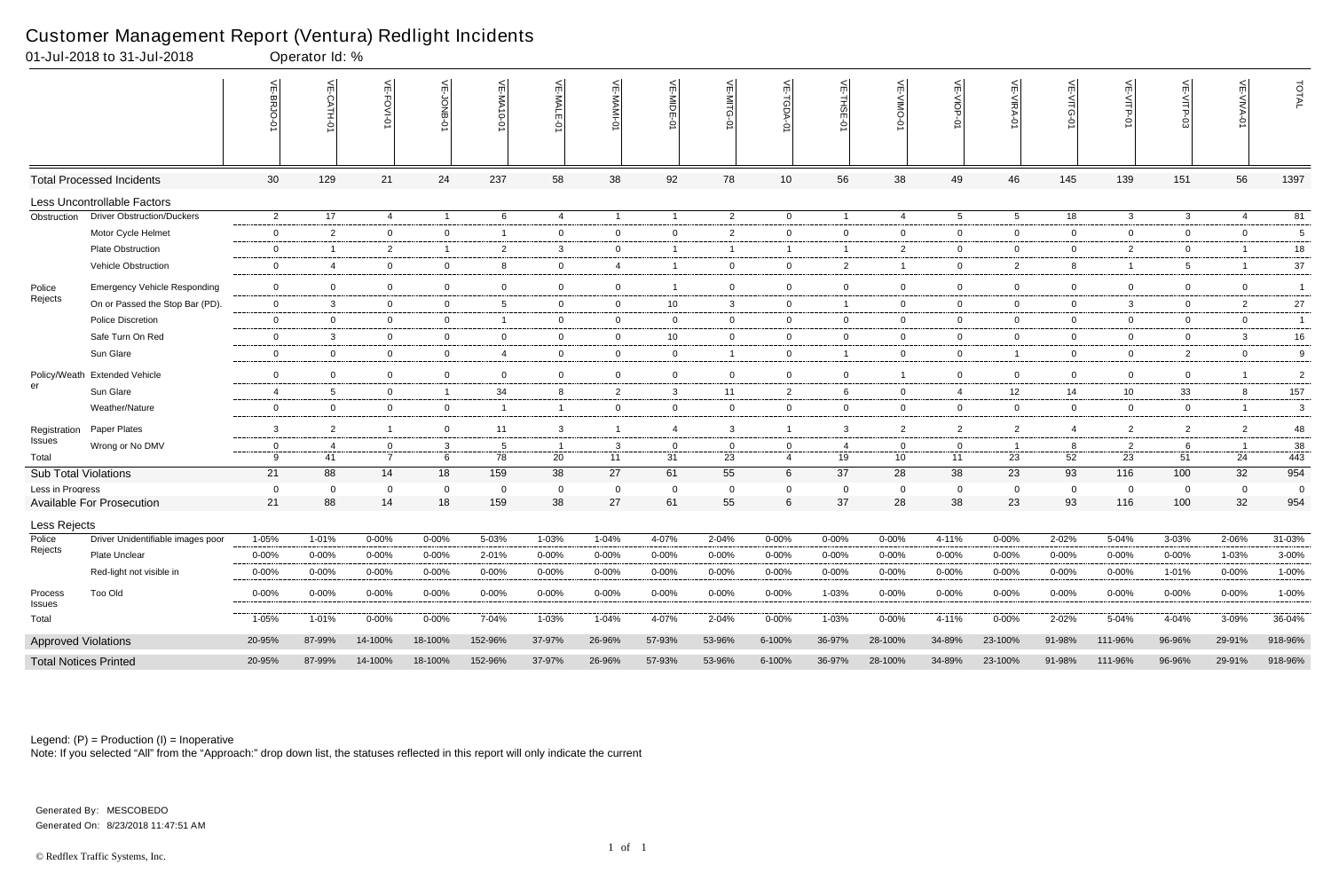|                              | 01-Jul-2018 to 31-Jul-2018                |                        | Operator Id: %     |                     |                         |                    |                             |                        |                        |                    |                           |                         |                     |                         |                         |                        |                        |                     |                     |                |
|------------------------------|-------------------------------------------|------------------------|--------------------|---------------------|-------------------------|--------------------|-----------------------------|------------------------|------------------------|--------------------|---------------------------|-------------------------|---------------------|-------------------------|-------------------------|------------------------|------------------------|---------------------|---------------------|----------------|
|                              |                                           |                        | $\leq$             | 닂<br>FOVI-01        | ਜ਼<br><b>DNB</b>        | VE-MA10-01         | 븻<br>-MALE<br>$\frac{1}{2}$ | VE-MAMI-0              | VE-MIDE-01             | VE-MITG-01         | $\widetilde{E}$<br>TGDA-0 | 븻<br>THSE-01            | ے<br>$\overline{5}$ | VE-VIOP<br>Ò            | VE-VIRA-01              | VE-VITG-01             | VE-VITP-01             | VE-VITP-03          | 븻<br>-AIVA-0        | TOTAL          |
|                              | <b>Total Processed Incidents</b>          | 30                     | 129                | 21                  | 24                      | 237                | 58                          | 38                     | 92                     | 78                 | 10 <sup>1</sup>           | 56                      | 38                  | 49                      | 46                      | 145                    | 139                    | 151                 | 56                  | 1397           |
|                              | Less Uncontrollable Factors               |                        |                    |                     |                         |                    |                             |                        |                        |                    |                           |                         |                     |                         |                         |                        |                        |                     |                     |                |
| Obstruction                  | <b>Driver Obstruction/Duckers</b>         | $\overline{2}$         | 17                 | 4                   | $\overline{1}$          | 6                  | 4                           | $\overline{1}$         | $\overline{1}$         | $\overline{2}$     | $\overline{0}$            | $\overline{1}$          | 4                   | $5\overline{)}$         | $5\overline{5}$         | 18                     | $\mathbf{3}$           | $\mathbf{3}$        | 4                   | 81             |
|                              | Motor Cycle Helmet                        | $\bf{0}$               | 2                  | $\overline{0}$      | $\mathbf 0$             |                    | $\overline{0}$              | $\mathbf 0$            | $\overline{0}$         | $\overline{2}$     | $\overline{0}$            | $\mathbf 0$             | 0                   | $\overline{0}$          | $\mathbf 0$             | $\mathbf 0$            | $\mathbf 0$            | $\mathbf{0}$        | $\mathbf 0$         | 5              |
|                              | <b>Plate Obstruction</b>                  | $\mathbf 0$            | - 1                | $\overline{2}$      | $\overline{1}$          | $\overline{2}$     | $\mathbf{3}$                | $\mathbf 0$            | -1                     | -1                 | $\overline{1}$            | $\overline{1}$          | $\overline{2}$      | $\overline{0}$          | $\mathbf{0}$            | $\overline{0}$         | $\overline{2}$         | $\mathbf{0}$        |                     | 18             |
|                              | Vehicle Obstruction                       | $\mathbf 0$            | $\overline{4}$     | $\overline{0}$      | $\mathbf 0$             | 8                  | $\overline{0}$              | $\overline{4}$         |                        | $\mathbf 0$        | $\overline{0}$            | $\overline{2}$          |                     | $\overline{0}$          | $\overline{2}$          | 8                      | $\mathbf{1}$           | 5                   |                     | $37\,$         |
| Police<br>Rejects            | <b>Emergency Vehicle Responding</b>       | $\overline{0}$         | $\mathbf 0$        | $\mathbf 0$         | $\overline{0}$          | $\mathbf 0$        | $\mathbf 0$                 | $\overline{0}$         | $\overline{1}$         | $\mathbf 0$        | $\mathbf 0$               | $\mathbf 0$             | $\mathbf 0$         | $\overline{0}$          | $\mathbf 0$             | $\mathbf 0$            | $\overline{0}$         | 0                   | $\mathbf 0$         | $\overline{1}$ |
|                              | On or Passed the Stop Bar (PD).           | $\overline{0}$         | 3                  | $\mathbf 0$         | $\overline{0}$          | -5                 | $\mathbf{0}$                | $\overline{0}$         | 10                     | $\mathbf{3}$       | $\overline{0}$            | $\overline{1}$          | 0                   | $\overline{0}$          | $\mathbf{0}$            | $\overline{0}$         | 3                      | $\mathbf 0$         | $\overline{2}$      | 27             |
|                              | Police Discretion                         | 0                      | $\mathbf 0$        | $\overline{0}$      | $\mathbf 0$             |                    | $\mathbf 0$                 | $\mathbf 0$            | $\overline{0}$         | $\mathbf 0$        | $\overline{0}$            | $\mathbf 0$             | 0                   | $\overline{0}$          | $\mathbf 0$             | $\overline{0}$         | $\overline{0}$         | $\mathbf 0$         | $\mathbf 0$         | $\mathbf{1}$   |
|                              | Safe Turn On Red                          | $\overline{0}$         | $\mathbf{3}$       | $\overline{0}$      | $\overline{0}$          | $\mathbf{0}$       | $\overline{0}$              | $\mathbf 0$            | 10                     | $\overline{0}$     | $\overline{0}$            | $\mathbf{0}$            | 0                   | $\overline{0}$          | $\mathbf 0$             | $\overline{0}$         | $\overline{0}$         | $\mathbf{0}$        | $\mathbf{3}$        | 16             |
|                              | Sun Glare                                 | $\bf{0}$               | $\overline{0}$     | $\overline{0}$      | $\overline{0}$          | $\overline{4}$     | $\overline{0}$              | $\overline{0}$         | $\overline{0}$         | $\mathbf{1}$       | $\overline{0}$            | $\overline{1}$          | $\overline{0}$      | $\overline{0}$          | $\overline{1}$          | $\overline{0}$         | $\overline{0}$         | $\overline{2}$      | $\overline{0}$      | 9              |
| Policy/Weath<br>er           | <b>Extended Vehicle</b>                   | $\mathbf 0$            | $\overline{0}$     | $\overline{0}$      | $\overline{0}$          | $\mathbf 0$        | $\overline{0}$              | $\overline{0}$         | $\overline{0}$         | $\overline{0}$     | $\overline{0}$            | $\overline{0}$          |                     | $\overline{0}$          | $\Omega$                | $\overline{0}$         | $\overline{0}$         | $\overline{0}$      | $\overline{1}$      | $\overline{2}$ |
|                              | Sun Glare                                 | $\overline{4}$         | 5                  | $\overline{0}$      | $\overline{1}$          | 34                 | 8                           | $\overline{2}$         | $\mathbf{3}$           | 11                 | $\overline{2}$            | 6                       | 0                   | $\overline{4}$          | 12                      | 14                     | 10                     | 33                  | 8                   | 157            |
|                              | Weather/Nature                            | $\mathbf 0$            | $\overline{0}$     | $\overline{0}$      | $\overline{0}$          | - 1                | $\mathbf{1}$                | $\overline{0}$         | $\overline{0}$         | $\overline{0}$     | $\overline{0}$            | $\mathbf{0}$            | $\mathbf{0}$        | $\overline{0}$          | $\mathbf 0$             | $\overline{0}$         | $\overline{0}$         | $\mathbf{0}$        | $\overline{1}$      | 3              |
| Registration                 | Paper Plates                              | $\mathbf{3}$           | $\overline{2}$     | $\mathbf{1}$        | $\overline{0}$          | 11                 | $\mathbf{3}$                | $\overline{1}$         | $\overline{4}$         | $\mathbf{3}$       | $\overline{1}$            | $\mathbf{3}$            | $\overline{2}$      | $\overline{2}$          | $\overline{2}$          | $\overline{4}$         | $\overline{2}$         | 2                   | $\overline{2}$      | 48             |
| Issues                       | Wrong or No DMV                           | $\mathbf 0$            | -4                 | 0                   | $\mathbf{3}$            | - 5                |                             | $\mathbf{3}$           | $\overline{0}$         | 0                  | $\overline{0}$            | -4                      | $\Omega$            | $\mathbf{0}$            |                         | 8                      | $\overline{2}$         | 6                   |                     | 38             |
| Total                        |                                           | 9                      | 41                 | $\overline{7}$      | 6                       | 78                 | 20                          | 11                     | 31                     | 23                 | $\overline{4}$            | 19                      | 10                  | 11                      | 23                      | 52                     | 23                     | 51                  | 24                  | 443            |
| <b>Sub Total Violations</b>  |                                           | 21                     | 88                 | 14                  | 18                      | 159                | 38                          | 27                     | 61                     | 55                 | $6\phantom{.}6$           | 37                      | 28                  | 38                      | 23                      | 93                     | 116                    | 100                 | 32                  | 954            |
| Less in Progress             | <b>Available For Prosecution</b>          | $\overline{0}$<br>21   | - 0<br>88          | $\mathbf 0$<br>14   | $\mathbf 0$<br>18       | - 0<br>159         | 0<br>38                     | $\mathbf 0$<br>27      | $\overline{0}$<br>61   | $\mathbf 0$<br>55  | 0<br>6                    | - 0<br>37               | 0<br>28             | $\mathbf{0}$<br>38      | $\Omega$<br>23          | $\mathbf 0$<br>93      | $\mathbf 0$<br>116     | $\mathbf 0$<br>100  | $\mathbf 0$<br>32   | 0<br>954       |
|                              |                                           |                        |                    |                     |                         |                    |                             |                        |                        |                    |                           |                         |                     |                         |                         |                        |                        |                     |                     |                |
| Less Rejects                 |                                           |                        |                    |                     |                         |                    |                             |                        |                        |                    |                           |                         |                     |                         |                         |                        |                        |                     |                     |                |
| Police<br>Rejects            | Driver Unidentifiable images poor         | 1-05%                  | 1-01%              | $0 - 00%$           | $0 - 00%$               | 5-03%              | 1-03%                       | 1-04%                  | 4-07%                  | 2-04%              | $0 - 00\%$                | $0 - 00%$               | 0-00%               | 4-11%                   | $0 - 00%$               | 2-02%                  | 5-04%                  | 3-03%               | 2-06%               | 31-03%         |
|                              | Plate Unclear<br>Red-light not visible in | $0 - 00%$<br>$0 - 00%$ | 0-00%<br>$0 - 00%$ | 0-00%<br>$0 - 00\%$ | $0 - 00\%$<br>$0 - 00%$ | 2-01%<br>$0 - 00%$ | $0 - 00%$<br>$0 - 00\%$     | $0 - 00%$<br>$0 - 00%$ | $0 - 00%$<br>$0 - 00%$ | 0-00%<br>$0 - 00%$ | $0 - 00%$<br>$0 - 00%$    | $0 - 00\%$<br>$0 - 00%$ | $0 - 00%$<br>0-00%  | $0 - 00\%$<br>$0 - 00%$ | $0 - 00\%$<br>$0 - 00%$ | $0 - 00%$<br>$0 - 00%$ | $0 - 00%$<br>$0 - 00%$ | $0 - 00\%$<br>1-01% | 1-03%<br>$0 - 00\%$ | 3-00%<br>1-00% |
|                              |                                           |                        |                    |                     |                         |                    |                             |                        |                        |                    |                           |                         |                     |                         |                         |                        |                        |                     |                     |                |
| Process<br>Issues            | Too Old                                   | $0 - 00%$              | 0-00%              | $0 - 00\%$          | $0 - 00\%$              | $0 - 00\%$         | $0 - 00\%$                  | $0 - 00\%$             | $0 - 00%$              | $0 - 00\%$         | $0 - 00\%$                | 1-03%                   | $0 - 00%$           | $0 - 00\%$              | $0 - 00\%$              | $0 - 00\%$             | $0 - 00%$              | $0 - 00\%$          | $0 - 00\%$          | 1-00%          |
| Total                        |                                           | 1-05%                  | 1-01%              | $0 - 00\%$          | $0 - 00\%$              | 7-04%              | 1-03%                       | 1-04%                  | 4-07%                  | 2-04%              | $0 - 00\%$                | 1-03%                   | $0 - 00%$           | 4-11%                   | $0 - 00\%$              | 2-02%                  | 5-04%                  | 4-04%               | 3-09%               | 36-04%         |
| <b>Approved Violations</b>   |                                           | 20-95%                 | 87-99%             | 14-100%             | 18-100%                 | 152-96%            | 37-97%                      | 26-96%                 | 57-93%                 | 53-96%             | 6-100%                    | 36-97%                  | 28-100%             | 34-89%                  | 23-100%                 | 91-98%                 | 111-96%                | 96-96%              | 29-91%              | 918-96%        |
| <b>Total Notices Printed</b> |                                           | 20-95%                 | 87-99%             | 14-100%             | 18-100%                 | 152-96%            | 37-97%                      | 26-96%                 | 57-93%                 | 53-96%             | 6-100%                    | 36-97%                  | 28-100%             | 34-89%                  | 23-100%                 | 91-98%                 | 111-96%                | 96-96%              | 29-91%              | 918-96%        |

Note: If you selected "All" from the "Approach:" drop down list, the statuses reflected in this report will only indicate the current

#### Customer Management Report (Ventura) Redlight Incidents

Generated On: 8/23/2018 11:47:51 AM Generated By: MESCOBEDO